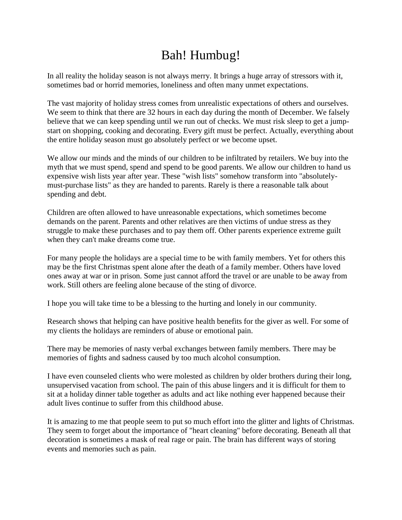## Bah! Humbug!

In all reality the holiday season is not always merry. It brings a huge array of stressors with it, sometimes bad or horrid memories, loneliness and often many unmet expectations.

The vast majority of holiday stress comes from unrealistic expectations of others and ourselves. We seem to think that there are 32 hours in each day during the month of December. We falsely believe that we can keep spending until we run out of checks. We must risk sleep to get a jumpstart on shopping, cooking and decorating. Every gift must be perfect. Actually, everything about the entire holiday season must go absolutely perfect or we become upset.

We allow our minds and the minds of our children to be infiltrated by retailers. We buy into the myth that we must spend, spend and spend to be good parents. We allow our children to hand us expensive wish lists year after year. These "wish lists" somehow transform into "absolutelymust-purchase lists" as they are handed to parents. Rarely is there a reasonable talk about spending and debt.

Children are often allowed to have unreasonable expectations, which sometimes become demands on the parent. Parents and other relatives are then victims of undue stress as they struggle to make these purchases and to pay them off. Other parents experience extreme guilt when they can't make dreams come true.

For many people the holidays are a special time to be with family members. Yet for others this may be the first Christmas spent alone after the death of a family member. Others have loved ones away at war or in prison. Some just cannot afford the travel or are unable to be away from work. Still others are feeling alone because of the sting of divorce.

I hope you will take time to be a blessing to the hurting and lonely in our community.

Research shows that helping can have positive health benefits for the giver as well. For some of my clients the holidays are reminders of abuse or emotional pain.

There may be memories of nasty verbal exchanges between family members. There may be memories of fights and sadness caused by too much alcohol consumption.

I have even counseled clients who were molested as children by older brothers during their long, unsupervised vacation from school. The pain of this abuse lingers and it is difficult for them to sit at a holiday dinner table together as adults and act like nothing ever happened because their adult lives continue to suffer from this childhood abuse.

It is amazing to me that people seem to put so much effort into the glitter and lights of Christmas. They seem to forget about the importance of "heart cleaning" before decorating. Beneath all that decoration is sometimes a mask of real rage or pain. The brain has different ways of storing events and memories such as pain.